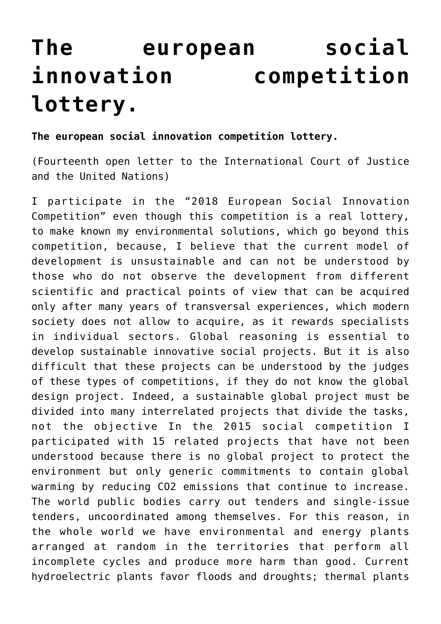## **[The european social](https://www.spawhe.eu/the-european-social-innovation-competition-lottery/) [innovation competition](https://www.spawhe.eu/the-european-social-innovation-competition-lottery/) [lottery.](https://www.spawhe.eu/the-european-social-innovation-competition-lottery/)**

## **The european social innovation competition lottery.**

(Fourteenth open letter to the International Court of Justice and the United Nations)

I participate in the "2018 European Social Innovation Competition" even though this competition is a real lottery, to make known my environmental solutions, which go beyond this competition, because, I believe that the current model of development is unsustainable and can not be understood by those who do not observe the development from different scientific and practical points of view that can be acquired only after many years of transversal experiences, which modern society does not allow to acquire, as it rewards specialists in individual sectors. Global reasoning is essential to develop sustainable innovative social projects. But it is also difficult that these projects can be understood by the judges of these types of competitions, if they do not know the global design project. Indeed, a sustainable global project must be divided into many interrelated projects that divide the tasks, not the objective In the 2015 social competition I participated with 15 related projects that have not been understood because there is no global project to protect the environment but only generic commitments to contain global warming by reducing CO2 emissions that continue to increase. The world public bodies carry out tenders and single-issue tenders, uncoordinated among themselves. For this reason, in the whole world we have environmental and energy plants arranged at random in the territories that perform all incomplete cycles and produce more harm than good. Current hydroelectric plants favor floods and droughts; thermal plants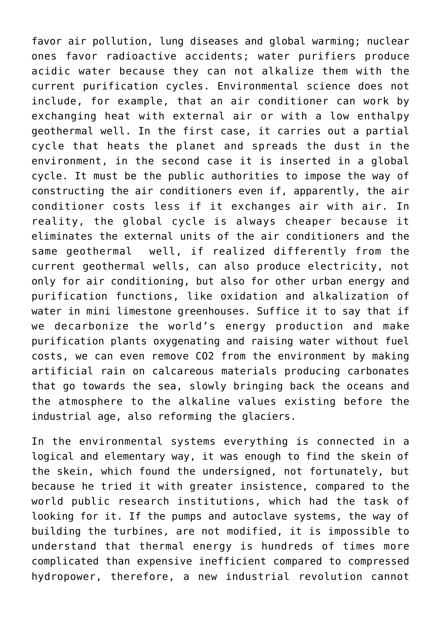favor air pollution, lung diseases and global warming; nuclear ones favor radioactive accidents; water purifiers produce acidic water because they can not alkalize them with the current purification cycles. Environmental science does not include, for example, that an air conditioner can work by exchanging heat with external air or with a low enthalpy geothermal well. In the first case, it carries out a partial cycle that heats the planet and spreads the dust in the environment, in the second case it is inserted in a global cycle. It must be the public authorities to impose the way of constructing the air conditioners even if, apparently, the air conditioner costs less if it exchanges air with air. In reality, the global cycle is always cheaper because it eliminates the external units of the air conditioners and the same geothermal well, if realized differently from the current geothermal wells, can also produce electricity, not only for air conditioning, but also for other urban energy and purification functions, like oxidation and alkalization of water in mini limestone greenhouses. Suffice it to say that if we decarbonize the world's energy production and make purification plants oxygenating and raising water without fuel costs, we can even remove CO2 from the environment by making artificial rain on calcareous materials producing carbonates that go towards the sea, slowly bringing back the oceans and the atmosphere to the alkaline values existing before the industrial age, also reforming the glaciers.

In the environmental systems everything is connected in a logical and elementary way, it was enough to find the skein of the skein, which found the undersigned, not fortunately, but because he tried it with greater insistence, compared to the world public research institutions, which had the task of looking for it. If the pumps and autoclave systems, the way of building the turbines, are not modified, it is impossible to understand that thermal energy is hundreds of times more complicated than expensive inefficient compared to compressed hydropower, therefore, a new industrial revolution cannot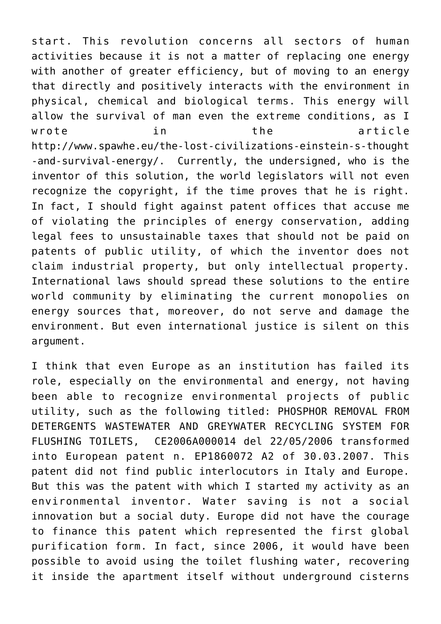start. This revolution concerns all sectors of human activities because it is not a matter of replacing one energy with another of greater efficiency, but of moving to an energy that directly and positively interacts with the environment in physical, chemical and biological terms. This energy will allow the survival of man even the extreme conditions, as I wrote in the article http://www.spawhe.eu/the-lost-civilizations-einstein-s-thought -and-survival-energy/. Currently, the undersigned, who is the inventor of this solution, the world legislators will not even recognize the copyright, if the time proves that he is right. In fact, I should fight against patent offices that accuse me of violating the principles of energy conservation, adding legal fees to unsustainable taxes that should not be paid on patents of public utility, of which the inventor does not claim industrial property, but only intellectual property. International laws should spread these solutions to the entire world community by eliminating the current monopolies on energy sources that, moreover, do not serve and damage the environment. But even international justice is silent on this argument.

I think that even Europe as an institution has failed its role, especially on the environmental and energy, not having been able to recognize environmental projects of public utility, such as the following titled: PHOSPHOR REMOVAL FROM DETERGENTS WASTEWATER AND GREYWATER RECYCLING SYSTEM FOR FLUSHING TOILETS, CE2006A000014 del 22/05/2006 transformed into European patent n. EP1860072 A2 of 30.03.2007. This patent did not find public interlocutors in Italy and Europe. But this was the patent with which I started my activity as an environmental inventor. Water saving is not a social innovation but a social duty. Europe did not have the courage to finance this patent which represented the first global purification form. In fact, since 2006, it would have been possible to avoid using the toilet flushing water, recovering it inside the apartment itself without underground cisterns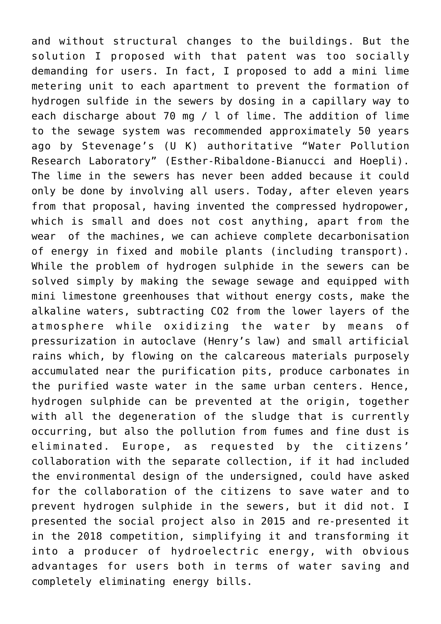and without structural changes to the buildings. But the solution I proposed with that patent was too socially demanding for users. In fact, I proposed to add a mini lime metering unit to each apartment to prevent the formation of hydrogen sulfide in the sewers by dosing in a capillary way to each discharge about 70 mg / l of lime. The addition of lime to the sewage system was recommended approximately 50 years ago by Stevenage's (U K) authoritative "Water Pollution Research Laboratory" (Esther-Ribaldone-Bianucci and Hoepli). The lime in the sewers has never been added because it could only be done by involving all users. Today, after eleven years from that proposal, having invented the compressed hydropower, which is small and does not cost anything, apart from the wear of the machines, we can achieve complete decarbonisation of energy in fixed and mobile plants (including transport). While the problem of hydrogen sulphide in the sewers can be solved simply by making the sewage sewage and equipped with mini limestone greenhouses that without energy costs, make the alkaline waters, subtracting CO2 from the lower layers of the atmosphere while oxidizing the water by means of pressurization in autoclave (Henry's law) and small artificial rains which, by flowing on the calcareous materials purposely accumulated near the purification pits, produce carbonates in the purified waste water in the same urban centers. Hence, hydrogen sulphide can be prevented at the origin, together with all the degeneration of the sludge that is currently occurring, but also the pollution from fumes and fine dust is eliminated. Europe, as requested by the citizens' collaboration with the separate collection, if it had included the environmental design of the undersigned, could have asked for the collaboration of the citizens to save water and to prevent hydrogen sulphide in the sewers, but it did not. I presented the social project also in 2015 and re-presented it in the 2018 competition, simplifying it and transforming it into a producer of hydroelectric energy, with obvious advantages for users both in terms of water saving and completely eliminating energy bills.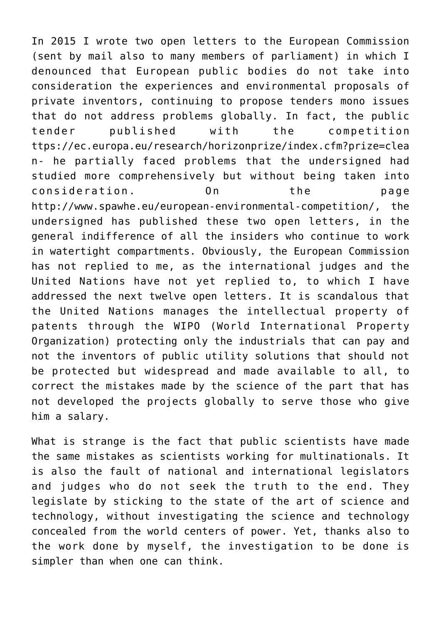In 2015 I wrote two open letters to the European Commission (sent by mail also to many members of parliament) in which I denounced that European public bodies do not take into consideration the experiences and environmental proposals of private inventors, continuing to propose tenders mono issues that do not address problems globally. In fact, the public tender published with the competition ttps://ec.europa.eu/research/horizonprize/index.cfm?prize=clea n- he partially faced problems that the undersigned had studied more comprehensively but without being taken into consideration. On the page http://www.spawhe.eu/european-environmental-competition/, the undersigned has published these two open letters, in the general indifference of all the insiders who continue to work in watertight compartments. Obviously, the European Commission has not replied to me, as the international judges and the United Nations have not yet replied to, to which I have addressed the next twelve open letters. It is scandalous that the United Nations manages the intellectual property of patents through the WIPO (World International Property Organization) protecting only the industrials that can pay and not the inventors of public utility solutions that should not be protected but widespread and made available to all, to correct the mistakes made by the science of the part that has not developed the projects globally to serve those who give him a salary.

What is strange is the fact that public scientists have made the same mistakes as scientists working for multinationals. It is also the fault of national and international legislators and judges who do not seek the truth to the end. They legislate by sticking to the state of the art of science and technology, without investigating the science and technology concealed from the world centers of power. Yet, thanks also to the work done by myself, the investigation to be done is simpler than when one can think.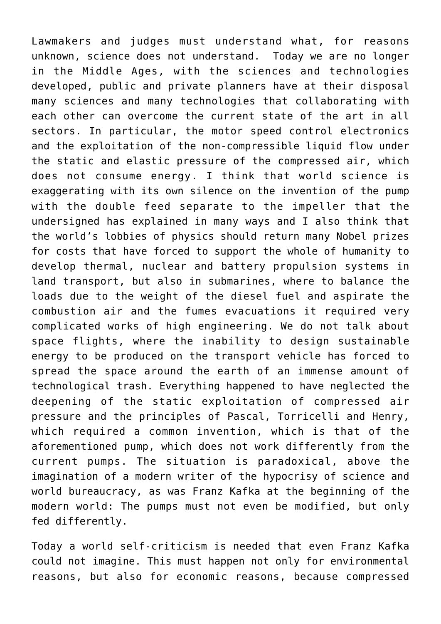Lawmakers and judges must understand what, for reasons unknown, science does not understand. Today we are no longer in the Middle Ages, with the sciences and technologies developed, public and private planners have at their disposal many sciences and many technologies that collaborating with each other can overcome the current state of the art in all sectors. In particular, the motor speed control electronics and the exploitation of the non-compressible liquid flow under the static and elastic pressure of the compressed air, which does not consume energy. I think that world science is exaggerating with its own silence on the invention of the pump with the double feed separate to the impeller that the undersigned has explained in many ways and I also think that the world's lobbies of physics should return many Nobel prizes for costs that have forced to support the whole of humanity to develop thermal, nuclear and battery propulsion systems in land transport, but also in submarines, where to balance the loads due to the weight of the diesel fuel and aspirate the combustion air and the fumes evacuations it required very complicated works of high engineering. We do not talk about space flights, where the inability to design sustainable energy to be produced on the transport vehicle has forced to spread the space around the earth of an immense amount of technological trash. Everything happened to have neglected the deepening of the static exploitation of compressed air pressure and the principles of Pascal, Torricelli and Henry, which required a common invention, which is that of the aforementioned pump, which does not work differently from the current pumps. The situation is paradoxical, above the imagination of a modern writer of the hypocrisy of science and world bureaucracy, as was Franz Kafka at the beginning of the modern world: The pumps must not even be modified, but only fed differently.

Today a world self-criticism is needed that even Franz Kafka could not imagine. This must happen not only for environmental reasons, but also for economic reasons, because compressed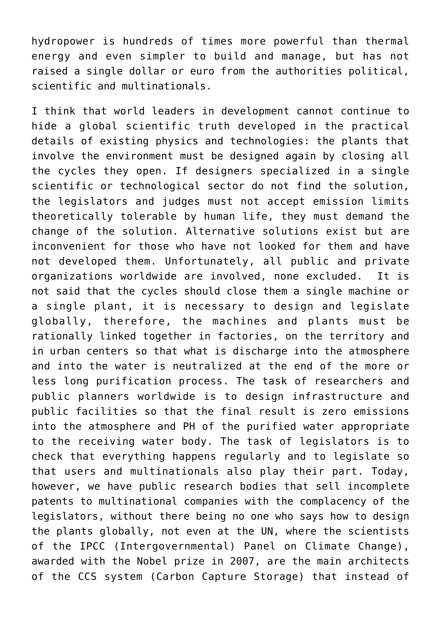hydropower is hundreds of times more powerful than thermal energy and even simpler to build and manage, but has not raised a single dollar or euro from the authorities political, scientific and multinationals.

I think that world leaders in development cannot continue to hide a global scientific truth developed in the practical details of existing physics and technologies: the plants that involve the environment must be designed again by closing all the cycles they open. If designers specialized in a single scientific or technological sector do not find the solution, the legislators and judges must not accept emission limits theoretically tolerable by human life, they must demand the change of the solution. Alternative solutions exist but are inconvenient for those who have not looked for them and have not developed them. Unfortunately, all public and private organizations worldwide are involved, none excluded. It is not said that the cycles should close them a single machine or a single plant, it is necessary to design and legislate globally, therefore, the machines and plants must be rationally linked together in factories, on the territory and in urban centers so that what is discharge into the atmosphere and into the water is neutralized at the end of the more or less long purification process. The task of researchers and public planners worldwide is to design infrastructure and public facilities so that the final result is zero emissions into the atmosphere and PH of the purified water appropriate to the receiving water body. The task of legislators is to check that everything happens regularly and to legislate so that users and multinationals also play their part. Today, however, we have public research bodies that sell incomplete patents to multinational companies with the complacency of the legislators, without there being no one who says how to design the plants globally, not even at the UN, where the scientists of the IPCC (Intergovernmental) Panel on Climate Change), awarded with the Nobel prize in 2007, are the main architects of the CCS system (Carbon Capture Storage) that instead of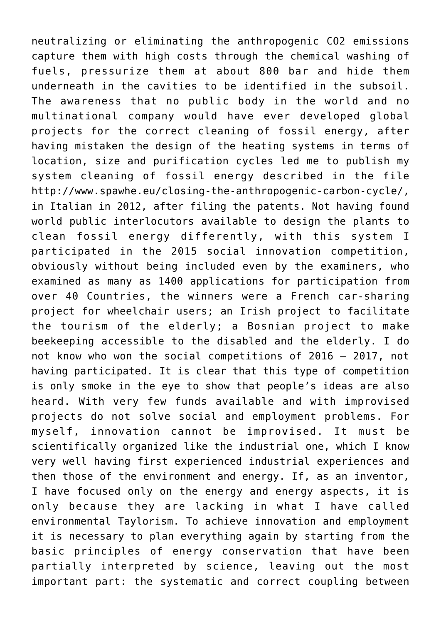neutralizing or eliminating the anthropogenic CO2 emissions capture them with high costs through the chemical washing of fuels, pressurize them at about 800 bar and hide them underneath in the cavities to be identified in the subsoil. The awareness that no public body in the world and no multinational company would have ever developed global projects for the correct cleaning of fossil energy, after having mistaken the design of the heating systems in terms of location, size and purification cycles led me to publish my system cleaning of fossil energy described in the file http://www.spawhe.eu/closing-the-anthropogenic-carbon-cycle/, in Italian in 2012, after filing the patents. Not having found world public interlocutors available to design the plants to clean fossil energy differently, with this system I participated in the 2015 social innovation competition, obviously without being included even by the examiners, who examined as many as 1400 applications for participation from over 40 Countries, the winners were a French car-sharing project for wheelchair users; an Irish project to facilitate the tourism of the elderly; a Bosnian project to make beekeeping accessible to the disabled and the elderly. I do not know who won the social competitions of 2016 – 2017, not having participated. It is clear that this type of competition is only smoke in the eye to show that people's ideas are also heard. With very few funds available and with improvised projects do not solve social and employment problems. For myself, innovation cannot be improvised. It must be scientifically organized like the industrial one, which I know very well having first experienced industrial experiences and then those of the environment and energy. If, as an inventor, I have focused only on the energy and energy aspects, it is only because they are lacking in what I have called environmental Taylorism. To achieve innovation and employment it is necessary to plan everything again by starting from the basic principles of energy conservation that have been partially interpreted by science, leaving out the most important part: the systematic and correct coupling between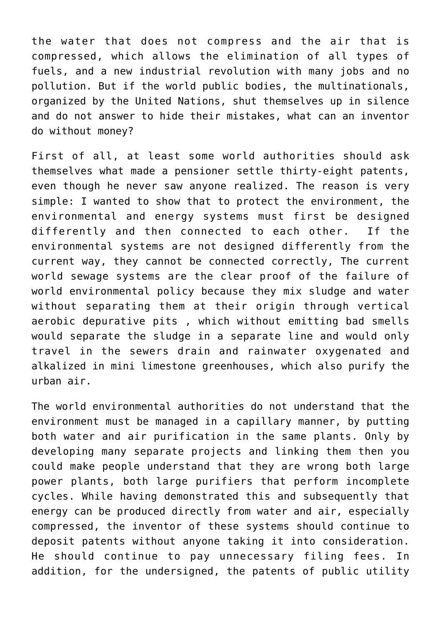the water that does not compress and the air that is compressed, which allows the elimination of all types of fuels, and a new industrial revolution with many jobs and no pollution. But if the world public bodies, the multinationals, organized by the United Nations, shut themselves up in silence and do not answer to hide their mistakes, what can an inventor do without money?

First of all, at least some world authorities should ask themselves what made a pensioner settle thirty-eight patents, even though he never saw anyone realized. The reason is very simple: I wanted to show that to protect the environment, the environmental and energy systems must first be designed differently and then connected to each other. If the environmental systems are not designed differently from the current way, they cannot be connected correctly, The current world sewage systems are the clear proof of the failure of world environmental policy because they mix sludge and water without separating them at their origin through vertical aerobic depurative pits , which without emitting bad smells would separate the sludge in a separate line and would only travel in the sewers drain and rainwater oxygenated and alkalized in mini limestone greenhouses, which also purify the urban air.

The world environmental authorities do not understand that the environment must be managed in a capillary manner, by putting both water and air purification in the same plants. Only by developing many separate projects and linking them then you could make people understand that they are wrong both large power plants, both large purifiers that perform incomplete cycles. While having demonstrated this and subsequently that energy can be produced directly from water and air, especially compressed, the inventor of these systems should continue to deposit patents without anyone taking it into consideration. He should continue to pay unnecessary filing fees. In addition, for the undersigned, the patents of public utility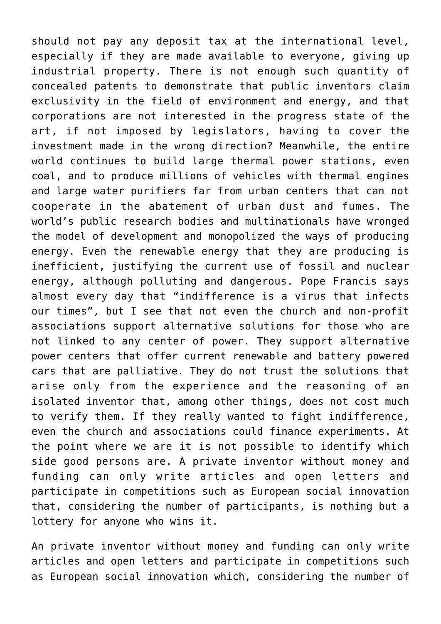should not pay any deposit tax at the international level, especially if they are made available to everyone, giving up industrial property. There is not enough such quantity of concealed patents to demonstrate that public inventors claim exclusivity in the field of environment and energy, and that corporations are not interested in the progress state of the art, if not imposed by legislators, having to cover the investment made in the wrong direction? Meanwhile, the entire world continues to build large thermal power stations, even coal, and to produce millions of vehicles with thermal engines and large water purifiers far from urban centers that can not cooperate in the abatement of urban dust and fumes. The world's public research bodies and multinationals have wronged the model of development and monopolized the ways of producing energy. Even the renewable energy that they are producing is inefficient, justifying the current use of fossil and nuclear energy, although polluting and dangerous. Pope Francis says almost every day that "indifference is a virus that infects our times", but I see that not even the church and non-profit associations support alternative solutions for those who are not linked to any center of power. They support alternative power centers that offer current renewable and battery powered cars that are palliative. They do not trust the solutions that arise only from the experience and the reasoning of an isolated inventor that, among other things, does not cost much to verify them. If they really wanted to fight indifference, even the church and associations could finance experiments. At the point where we are it is not possible to identify which side good persons are. A private inventor without money and funding can only write articles and open letters and participate in competitions such as European social innovation that, considering the number of participants, is nothing but a lottery for anyone who wins it.

An private inventor without money and funding can only write articles and open letters and participate in competitions such as European social innovation which, considering the number of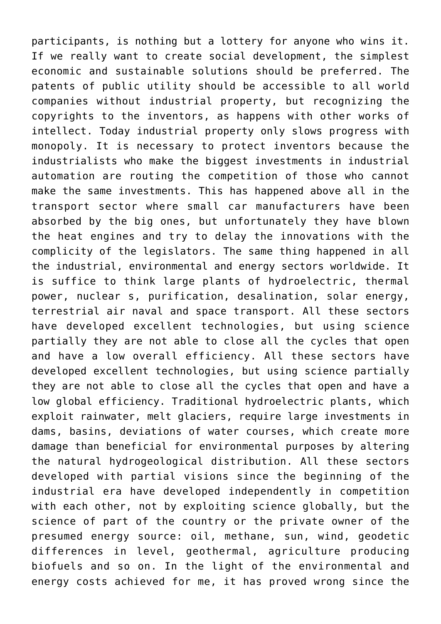participants, is nothing but a lottery for anyone who wins it. If we really want to create social development, the simplest economic and sustainable solutions should be preferred. The patents of public utility should be accessible to all world companies without industrial property, but recognizing the copyrights to the inventors, as happens with other works of intellect. Today industrial property only slows progress with monopoly. It is necessary to protect inventors because the industrialists who make the biggest investments in industrial automation are routing the competition of those who cannot make the same investments. This has happened above all in the transport sector where small car manufacturers have been absorbed by the big ones, but unfortunately they have blown the heat engines and try to delay the innovations with the complicity of the legislators. The same thing happened in all the industrial, environmental and energy sectors worldwide. It is suffice to think large plants of hydroelectric, thermal power, nuclear s, purification, desalination, solar energy, terrestrial air naval and space transport. All these sectors have developed excellent technologies, but using science partially they are not able to close all the cycles that open and have a low overall efficiency. All these sectors have developed excellent technologies, but using science partially they are not able to close all the cycles that open and have a low global efficiency. Traditional hydroelectric plants, which exploit rainwater, melt glaciers, require large investments in dams, basins, deviations of water courses, which create more damage than beneficial for environmental purposes by altering the natural hydrogeological distribution. All these sectors developed with partial visions since the beginning of the industrial era have developed independently in competition with each other, not by exploiting science globally, but the science of part of the country or the private owner of the presumed energy source: oil, methane, sun, wind, geodetic differences in level, geothermal, agriculture producing biofuels and so on. In the light of the environmental and energy costs achieved for me, it has proved wrong since the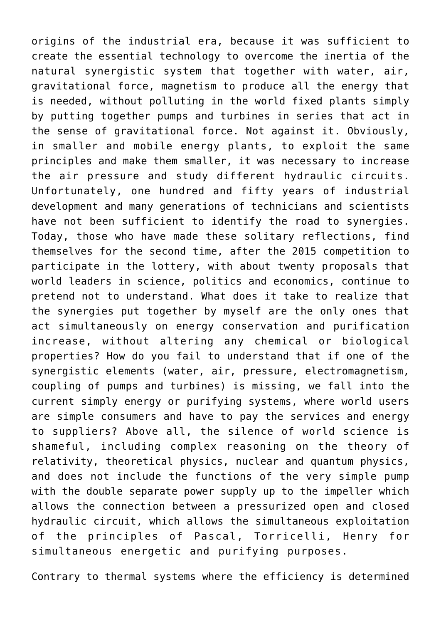origins of the industrial era, because it was sufficient to create the essential technology to overcome the inertia of the natural synergistic system that together with water, air, gravitational force, magnetism to produce all the energy that is needed, without polluting in the world fixed plants simply by putting together pumps and turbines in series that act in the sense of gravitational force. Not against it. Obviously, in smaller and mobile energy plants, to exploit the same principles and make them smaller, it was necessary to increase the air pressure and study different hydraulic circuits. Unfortunately, one hundred and fifty years of industrial development and many generations of technicians and scientists have not been sufficient to identify the road to synergies. Today, those who have made these solitary reflections, find themselves for the second time, after the 2015 competition to participate in the lottery, with about twenty proposals that world leaders in science, politics and economics, continue to pretend not to understand. What does it take to realize that the synergies put together by myself are the only ones that act simultaneously on energy conservation and purification increase, without altering any chemical or biological properties? How do you fail to understand that if one of the synergistic elements (water, air, pressure, electromagnetism, coupling of pumps and turbines) is missing, we fall into the current simply energy or purifying systems, where world users are simple consumers and have to pay the services and energy to suppliers? Above all, the silence of world science is shameful, including complex reasoning on the theory of relativity, theoretical physics, nuclear and quantum physics, and does not include the functions of the very simple pump with the double separate power supply up to the impeller which allows the connection between a pressurized open and closed hydraulic circuit, which allows the simultaneous exploitation of the principles of Pascal, Torricelli, Henry for simultaneous energetic and purifying purposes.

Contrary to thermal systems where the efficiency is determined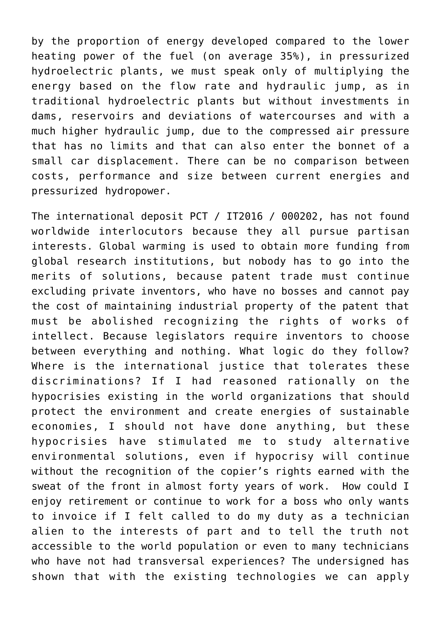by the proportion of energy developed compared to the lower heating power of the fuel (on average 35%), in pressurized hydroelectric plants, we must speak only of multiplying the energy based on the flow rate and hydraulic jump, as in traditional hydroelectric plants but without investments in dams, reservoirs and deviations of watercourses and with a much higher hydraulic jump, due to the compressed air pressure that has no limits and that can also enter the bonnet of a small car displacement. There can be no comparison between costs, performance and size between current energies and pressurized hydropower.

The international deposit PCT / IT2016 / 000202, has not found worldwide interlocutors because they all pursue partisan interests. Global warming is used to obtain more funding from global research institutions, but nobody has to go into the merits of solutions, because patent trade must continue excluding private inventors, who have no bosses and cannot pay the cost of maintaining industrial property of the patent that must be abolished recognizing the rights of works of intellect. Because legislators require inventors to choose between everything and nothing. What logic do they follow? Where is the international justice that tolerates these discriminations? If I had reasoned rationally on the hypocrisies existing in the world organizations that should protect the environment and create energies of sustainable economies, I should not have done anything, but these hypocrisies have stimulated me to study alternative environmental solutions, even if hypocrisy will continue without the recognition of the copier's rights earned with the sweat of the front in almost forty years of work. How could I enjoy retirement or continue to work for a boss who only wants to invoice if I felt called to do my duty as a technician alien to the interests of part and to tell the truth not accessible to the world population or even to many technicians who have not had transversal experiences? The undersigned has shown that with the existing technologies we can apply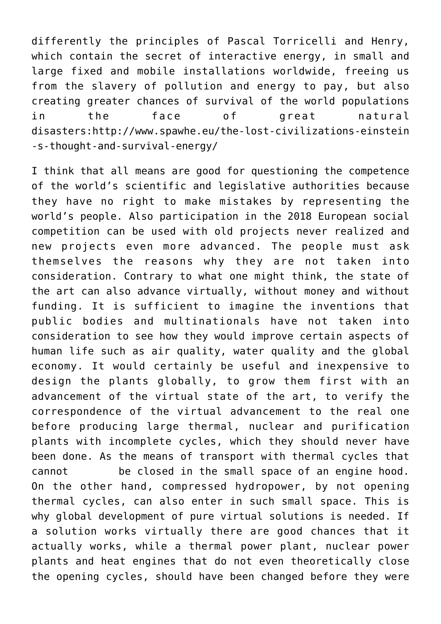differently the principles of Pascal Torricelli and Henry, which contain the secret of interactive energy, in small and large fixed and mobile installations worldwide, freeing us from the slavery of pollution and energy to pay, but also creating greater chances of survival of the world populations in the face of great natural disasters:[http://www.spawhe.eu/the-lost-civilizations-einstein](http://www.spawhe.eu/the-lost-civilizations-einstein-s-thought-and-survival-energy/) [-s-thought-and-survival-energy/](http://www.spawhe.eu/the-lost-civilizations-einstein-s-thought-and-survival-energy/)

I think that all means are good for questioning the competence of the world's scientific and legislative authorities because they have no right to make mistakes by representing the world's people. Also participation in the 2018 European social competition can be used with old projects never realized and new projects even more advanced. The people must ask themselves the reasons why they are not taken into consideration. Contrary to what one might think, the state of the art can also advance virtually, without money and without funding. It is sufficient to imagine the inventions that public bodies and multinationals have not taken into consideration to see how they would improve certain aspects of human life such as air quality, water quality and the global economy. It would certainly be useful and inexpensive to design the plants globally, to grow them first with an advancement of the virtual state of the art, to verify the correspondence of the virtual advancement to the real one before producing large thermal, nuclear and purification plants with incomplete cycles, which they should never have been done. As the means of transport with thermal cycles that cannot be closed in the small space of an engine hood. On the other hand, compressed hydropower, by not opening thermal cycles, can also enter in such small space. This is why global development of pure virtual solutions is needed. If a solution works virtually there are good chances that it actually works, while a thermal power plant, nuclear power plants and heat engines that do not even theoretically close the opening cycles, should have been changed before they were